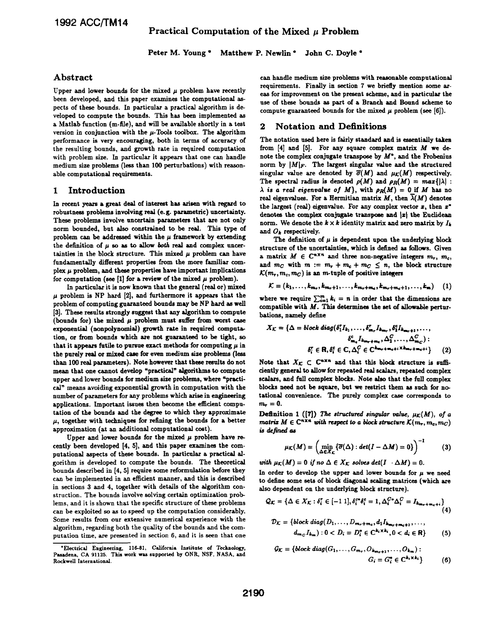Peter M. Young \* Matthew P. Newlin \* John C. Doyle \*

# Abstract

Upper and lower bounds for the mixed  $\mu$  problem have recently been developed, and this paper examines the computational aspects of these bounds. In particular a practical algorithm is developed to compute the bounds. This has been implemented as a Matlab function (m-file), and will be available shortly in a test version in conjunction with the  $\mu$ -Tools toolbox. The algorithm performance is very encouraging, both in terms of accuracy of the resulting bounds, and growth rate in required computation with problem size. In particular it appears that one can handle medium size problems (less than 100 perturbations) with reasonable computational requirements.

## 1 Introduction

In recent yeas a great deal of interest has arisen with regard to robustness problems involving real (e.g. parametric) uncertainty. These problems involve uncertain parameters that are not only norm bounded, but also constrained to be real. This type of problem can be addressed within the  $\mu$  framework by extending the definition of  $\mu$  so as to allow both real and complex uncertainties in the block structure. This mixed  $\mu$  problem can have fundamentally different properties from the more familiar complex  $\mu$  problem, and these properties have important implications for computation (see [1] for a review of the mixed  $\mu$  problem).

In particular it is now known that the general (real or) mixed  $\mu$  problem is NP hard [2], and furthermore it appears that the problem of computing guaranteed bounds may be NP hard as well [3]. These results strongly suggest that any algorithm to compute (bounds for) the mixed  $\mu$  problem must suffer from worst case exponential (nonpolynomial) growth rate in required computation, or from bounds which are not guarateed to be tight, so that it appears futile to pursue exact methods for computing  $\mu$  in the purely real or mixed case for even medium size problems (less than 100 real parameters). Note however that these results do not mean that one cannot develop "practical" algorithms to compute upper and lower bounds for medium size problems, where 'practical" means avoiding exponential growth in computation with the number of parameters for any problems which arise in engineering applications. Important issues then become the efficient computation of the bounds and the degree to which they approximate  $\mu$ , together with techniques for refining the bounds for a better approximation (at an additional computational cost).

Upper and lower bounds for the mixed  $\mu$  problem have recently been developed [4, 5], and this paper examines the computational aspects of these bounds. In particular a practical algorithm is developed to compute the bounds. The theoretical bounds described in {4, 5] require some reformulation before they can be implemented in an efficient manner, and this is described in sections 3 and 4, together with details of the algorithm construction. The bounds involve solving certain optimization problems, and it is shown that the specific structure of these problems can be exploited so as to speed up the computation considerably. Some results from our extensive numerical experience with the algorithm, regarding both the quality of the bounds and the computation time, are presented in section 6, and it is seen that one can handle medium size problems with reasonable computational requirements. Finally in section 7 we briefly mention some areas for improvement on the present scheme, and in particular the use of these bounds as part of a Branch and Bound scheme to compute guaranteed bounds for the mixed  $\mu$  problem (see [6]).

## 2 Notation and Definitions

The notation used here is fairly standard and is essentially taken from  $[4]$  and  $[5]$ . For any square complex matrix  $M$  we denote the complex conjugate transpose by  $M^*$ , and the Frobenius norm by  $|M|_F$ . The largest singular value and the structured singular value are denoted by  $\overline{\sigma}(M)$  and  $\mu_{\mathcal{K}}(M)$  respectively. The spectral radius is denoted  $\rho(M)$  and  $\rho_R(M) = max\{|\lambda| :$  $\lambda$  is a real eigenvalue of M, with  $\rho_R(M) = 0$  if M has no real eigenvalues. For a Hermitian matrix  $M$ , then  $\overline{\lambda}(M)$  denotes the largest (real) eigenvalue. For any complex vector  $x$ , then  $x^*$ denotes the complex conjugate transpose and  $|x|$  the Euclidean norm. We denote the  $k \times k$  identity matrix and zero matrix by  $I_k$ and  $O_k$  respectively.

The definition of  $\mu$  is dependent upon the underlying block structure of the uncertainties, which is defined as follows. Given a matrix  $M \in \mathbb{C}^{n \times n}$  and three non-negative integers  $m_r$ ,  $m_c$ , and  $m_C$  with  $m := m_T + m_c + m_C \leq n$ , the block structure  $\mathcal{K}(m_r, m_c, m_C)$  is an m-tuple of positive integers

$$
\mathcal{K} = (k_1, \ldots, k_{m_r}, k_{m_r+1}, \ldots, k_{m_r+m_c}, k_{m_r+m_c+1}, \ldots, k_m) \quad (1)
$$

where we require  $\sum_{i=1}^{m} k_i = n$  in order that the dimensions are compatible with  $M$ . This determines the set of allowable perturbations, namely define

$$
X_{\mathcal{K}} = \{ \Delta = block \ diag(\delta_1^{\tau} I_{k_1}, \dots, \delta_{m_{\tau}}^{\tau} I_{k_{m_{\tau}}}, \delta_1^{\epsilon} I_{k_{m_{\tau}+1}}, \dots, \n\delta_{m_{\epsilon}}^{\epsilon} I_{k_{m_{\tau}+m_{\epsilon}}}, \Delta_1^{\mathcal{C}}, \dots, \Delta_{m_{\mathcal{C}}}^{\mathcal{C}}): \n\delta_i^{\tau} \in \mathbf{R}, \delta_i^{\epsilon} \in \mathbf{C}, \Delta_i^{\mathcal{C}} \in \mathbf{C}^{k_{m_{\tau}+m_{\epsilon}+1} \times k_{m_{\tau}+m_{\epsilon}+1}}} \tag{2}
$$

Note that  $X_{\mathcal{K}} \subset \mathbb{C}^{n \times n}$  and that this block structure is sufficiently general to allow for repeated real salrs, repeated complex scalars, and full complex blocks. Note also that the full complex blocks need not be square, but we restrict them as such for notational convenience. The purely complex case corresponds to  $m_{-}=0$ .

Definition 1 ([7]) The structured singular value,  $\mu_K(M)$ , of a matrix  $M \in \mathbb{C}^{n \times n}$  with respect to a block structure  $\mathcal{K}(m_r, m_c, m_C)$ is defined as

$$
\mu_{\mathcal{K}}(M) = \left(\min_{\Delta \in X_{\mathcal{K}}} \{\overline{\sigma}(\Delta) : \det(I - \Delta M) = 0\}\right)^{-1} \tag{3}
$$

with  $\mu_K(M) = 0$  if no  $\Delta \in X_K$  solves det $(I \cdot \Delta M) = 0$ .

In order to develop the upper and lower bounds for  $\mu$  we need to define some sets of block diagonal scaling matrices (which are also dependent on the underlying block structure).

$$
Q_K = \{ \Delta \in X_K : \delta_i^r \in [-1\ 1], \delta_i^{c*} \delta_i^c = 1, \Delta_i^{C*} \Delta_i^C = I_{k_{m+1}m_c+i} \}
$$
(4)

$$
\mathcal{D}_{\mathcal{K}} = \{block\; diag(D_1, \ldots, D_{m_r+m_c}, d_1 I_{k_{m_r+m_c+1}}, \ldots, \\ d_{m_C} I_{k_m}) : 0 < D_i = D_i^* \in C^{k_i \times k_i}, 0 < d_i \in \mathbb{R} \} \tag{5}
$$

$$
G_{K} = \{block diag(G_1, ..., G_{m_r}, O_{k_{m_r+1}}, ..., O_{k_m}) : G_i = G_i^* \in \mathbb{C}^{k_i \times k_i} \}
$$
 (6)

<sup>&#</sup>x27;Electrical Engineering, 116-81, California Institute of Techuology, Pasadena, CA 9112S. This work was supported by ONR, NSF, NASA, and Rockwell International.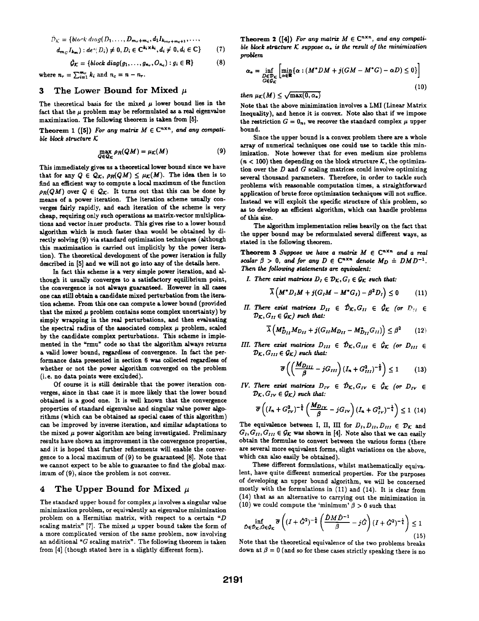$$
\hat{D}_{\mathcal{K}} = \{block\} \cdot diag(D_1, \ldots, D_{m_r+m_c}, d_1 I_{k_{m_r+m_c+1}}, \ldots, d_{m_c} I_{k-1} : def(D_i) \neq 0, D_i \in \mathbb{C}^{k_i \times k_i}, d_i \neq 0, d_i \in \mathbb{C} \}
$$
\n
$$
(7)
$$

$$
\hat{\mathcal{G}}_{\mathcal{K}} = \{block\} \tag{8}
$$
\n
$$
\hat{\mathcal{G}}_{\mathcal{K}} = \{block\} \tag{8}
$$

where  $n_r = \sum_{i=1}^{m_r} k_i$  and  $n_c = n - n_r$ .

#### 3 The Lower Bound for Mixed  $\mu$

The theoretical basis for the mixed  $\mu$  lower bound lies in the fact that the  $\mu$  problem may be reformulated as a real eigenvalue maximization. The following theorem is taken from [5].

Theorem 1 ([5]) For any matrix  $M \in \mathbb{C}^{n \times n}$ , and any compatible block structure  $K$ 

$$
\max_{Q \in \Omega} \rho_R(QM) = \mu_K(M) \tag{9}
$$

This immediately gives us a theoretical lower bound since we have that for any  $Q \in \mathcal{Q}_{\mathcal{K}}$ ,  $\rho_R(QM) \leq \mu_{\mathcal{K}}(M)$ . The idea then is to find an efficient way to compute a local maximum of the function  $\rho_R(QM)$  over  $Q \in \mathcal{Q}_K$ . It turns out that this can be done by means of a power iteration. The iteration scheme usually converges fairly rapidly, and each iteration of the scheme is very cheap, requiring only such operations as matrix-vector multiplications and vector inner products. This gives rise to a lower bound algorithm which is much faster than would be obtained by directly solving (9) via standard optimization techniques (although this maximization is carried out implicitly by the power iteration). The theoretical development of the power iteration is fully described in [5] and we will not go into any of the details here.

In fact this scheme is a very simple power iteration, and although it usually converges to a satisfactory equilibrium point, the convergence is not always guaranteed. However in all cases one can still obtain a candidate mixed perturbation from the iteration scheme. From this one can compute a lower bound (provided that the mixed  $\mu$  problem contains some complex uncertainty) by simply wrapping in the real perturbations, and then evaluating the spectral radius of the associated complex  $\mu$  problem, scaled by the candidate complex perturbations. This scheme is implemented in the "rmu" code so that the algorithm always returns a valid lower bound, regardless of convergence. In fact the performance data presented in section 6 was collected regardless of whether or not the power algorithm converged on the problem (i.e. no data points were excluded).

Of course it is stil desirable that the power iteration converges, since in that case it is more likely that the lower bound obtained is a good one. It is well known that the convergence properties of standard eigenvalue and singular value power algorithms (which can be obtained as special cases of this algorithm) can be improved by inverse iteration, and similar adaptations to the mixed  $\mu$  power algorithm are being investigated. Preliminary results have shown an improvement in the convergence properties, and it is hoped that further refinements will enable the convergence to a local maximum of (9) to be guaranteed [8]. Note that we cannot expect to be able to guarantee to find the global maximum of (9), since the problem is not convex.

# 4 The Upper Bound for Mixed  $\mu$

The standard upper bound for complex  $\mu$  involves a singular value minimization problem, or equivalently an eigenvalue minimization problem on a Hermitian matrix, with respect to a certain  $P$ scaling matrix" [7]. The mixed  $\mu$  upper bound takes the form of a more complicated version of the same problem, now involving an additional "G scaling matrix". The following theorem is taken from [4] (though stated here in a slightly different form).

Theorem 2 ([4]) For any matrix  $M \in \mathbb{C}^{n \times n}$ , and any compati-(7) ble block structure K suppose  $\alpha_*$  is the result of the minimization problem

$$
\alpha_{*} = \inf_{\substack{D \in \mathcal{D}_{\mathcal{K}} \\ G \in \mathcal{G}_{\mathcal{K}}}} \left[ \min_{\alpha \in \mathbb{R}} \{ \alpha : (M^{*}DM + j(GM - M^{*}G) - \alpha D) \le 0 \} \right]
$$
(10)

then  $\mu_K(M) \leq \sqrt{\max(0, \alpha_*)}$ 

Note that the above minimization involves a LMI (Linear Matrix Inequality), and hence it is convex. Note also that if we impose the restriction  $G = 0_n$ , we recover the standard complex  $\mu$  upper bound.

Since the upper bound is a convex problem there are a whole array of numerical techniques one could use to tackle this minimization. Note however that for even medium size problems  $(n < 100)$  then depending on the block structure K, the optimization over the  $D$  and  $G$  scaling matrices could involve optimizing several thousand parameters. Therefore, in order to tackle such problems with reasonable computation times, a straightforward application of brute force optimization techniques wiU not suffice. Instead we will exploit the specific structure of this problem, so as to develop an efficient algorithm, which can handle problems of this size.

The algorithm implementation relies heavily on the fact that the upper bound may be reformulated several different ways, as stated in the following theorem.

Theorem 3 Suppose we have a matrix  $M \in \mathbb{C}^{n \times n}$  and a real scalar  $\beta > 0$ , and for any  $D \in \mathbb{C}^{n \times n}$  denote  $M_D \doteq DMD^{-1}$ . Then the following statements are equivalent:

I. There exist matrices  $D_I \in \mathcal{D}_K$ ,  $G_I \in \mathcal{G}_K$  such that:

$$
\overline{\lambda}\left(M^*D_I M + j(G_I M - M^*G_I) - \beta^2 D_I\right) \le 0 \qquad (11)
$$

II. There exist matrices  $D_{II} \in \hat{\mathcal{D}}_{\mathcal{K}}, G_{II} \in \hat{\mathcal{G}}_{\mathcal{K}}$  (or  $D_{II} \in$  $\mathcal{D}_{\mathcal{K}}, G_{II} \in \mathcal{G}_{\mathcal{K}}$  such that:

$$
\overline{\lambda}\left(M_{D_{II}}^* M_{D_{II}} + j(G_{II} M_{D_{II}} - M_{D_{II}}^* G_{II})\right) \leq \beta^2 \qquad (12)
$$

III. There exist matrices  $D_{III} \in \hat{D}_{K}$ ,  $G_{III} \in \hat{\mathcal{G}}_{K}$  (or  $D_{III} \in$  $\mathcal{D}_{\mathcal{K}}, G_{III} \in \mathcal{G}_{\mathcal{K}}$  such that:

$$
\overline{\sigma}\left(\left(\frac{M_{D_{III}}}{\beta} - jG_{III}\right)\left(I_n + G_{III}^2\right)^{-\frac{1}{2}}\right) \le 1\tag{13}
$$

IV. There exist matrices  $D_{IV} \in \hat{\mathcal{D}}_{K}$ ,  $G_{IV} \in \hat{\mathcal{G}}_{K}$  (or  $D_{IV} \in$  $\mathcal{D}_{\mathcal{K}}, G_{IV} \in \mathcal{G}_{\mathcal{K}}$  such that:

$$
\overline{\sigma}\left((I_n + G_{IV}^2)^{-\frac{1}{4}}\left(\frac{M_{Div}}{\beta} - jG_{IV}\right)(I_n + G_{IV}^2)^{-\frac{1}{4}}\right) \le 1 \tag{14}
$$

The equivalence between I, II, III for  $D_I, D_{II}, D_{III} \in \mathcal{D}_{\mathcal{K}}$  and  $G_I, G_{II}, G_{III} \in \mathcal{G}_{\mathcal{K}}$  was shown in [4]. Note also that we can easily obtain the formulae to convert between the various forms (there are several more equivalent forms, slight variations on the above, which can also easily be obtained).

These different formulations, whilst mathematically equivalent, have quite different numerical properties. For the purposes of developing an upper bound algorithm, we will be concerned mostly with the formulations in (11) and (14). It is clear from (14) that as an alternative to carrying out the minimization in (10) we could compute the 'minimum'  $\beta > 0$  such that

$$
\inf_{\hat{D}\in\hat{\mathcal{D}}_{\mathcal{K}},\hat{G}\in\hat{\mathcal{G}}_{\mathcal{K}}}\overline{\sigma}\left((I+\hat{G}^2)^{-\frac{1}{4}}\left(\frac{\hat{D}M\hat{D}^{-1}}{\beta}-j\hat{G}\right)(I+\hat{G}^2)^{-\frac{1}{4}}\right)\leq 1
$$
\n(15)

Note that the theoretical equivalence of the two problems breaks down at  $\beta = 0$  (and so for these cases strictly speaking there is no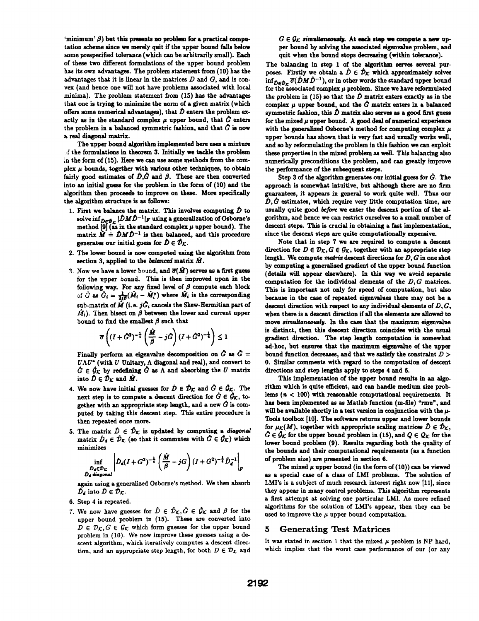'minimum'  $\beta$ ) but this presents no problem for a practical computation scheme since we merely quit if the upper bound falls below some prespecified tolerance (which can be arbitrarily small). Each of these two different formulations of the upper bound problem has its own advantages. The problem statement from (10) has the advantages that it is linear in the matrices  $D$  and  $G$ , and is convex (and hence one will not have problems associated with local minima). The problem statement from (15) has the advantages that one is trying to minimize the norm of a given matrix (which offers some numerical advantages), that  $\hat{D}$  enters the problem exactly as in the standard complex  $\mu$  upper bound, that  $\hat{G}$  enters the problem in a balanced symmetric fashion, and that  $\hat{G}$  is now a real diagonal matrix.

The upper bound algorithm implemented here uses a mixture <sup>r</sup> the formulations in theorem 3. Initially we tackle the problem .n the form of (15). Here we can use some methods from the complex  $\mu$  bounds, together with various other techniques, to obtain fairly good estimates of  $\hat{D}, \hat{G}$  and  $\beta$ . These are then converted into an initial guess for the problem in the form of (10) and the algorithm then proceeds to improve on these. More specifically the algorithm structure is as folows:

- 1. First we balance the matrix. This involves computing  $\hat{D}$  to solve  $\inf_{D\in \mathcal{D}_F} |\hat{D}M\hat{D}^{-1}|_F$  using a generalization of Osborne's method [9] (as in the standard complex  $\mu$  upper bound). The matrix  $\hat{M} \doteq \hat{D} M \hat{D}^{-1}$  is then balanced, and this procedure generates our initial guess for  $\hat{D} \in \hat{\mathcal{D}}_K$ .
- 2. The lower bound is now computed using the algorithm from section 3, applied to the balanced matrix  $\hat{M}$ .
- 3. Now we have a lower bound, and  $\overline{\sigma}(\hat{M})$  serves as a first guess for the upper bound. This is then improved upon in the following way. For any fixed level of  $\beta$  compute each block of  $\hat{G}$  as  $\hat{G}_i = \frac{1}{2i\beta}(\hat{M}_i - \hat{M}_i^*)$  where  $\hat{M}_i$  is the corresponding sub-matrix of  $\hat{M}$  (i.e.  $j\hat{G}_i$  cancels the Skew-Hermitian part of  $\hat{M}_i$ ). Then bisect on  $\beta$  between the lower and current upper bound to find the smallest  $\beta$  such that

$$
\overline{\sigma}\left((I+\hat{G}^2)^{-\frac{1}{4}}\left(\frac{\hat{M}}{\hat{\beta}}-j\hat{G}\right)(I+\hat{G}^2)^{-\frac{1}{4}}\right)\leq 1
$$

Finally perform an eigenvalue decomposition on  $\tilde{G}$  as  $\tilde{G}$  =  $U\Lambda U^*$  (with  $U$  Unitary,  $\Lambda$  diagonal and real), and convert to  $G \in \mathcal{G}_K$  by redefining  $G$  as  $\Lambda$  and absorbing the U matrix into  $\tilde{D} \in \tilde{\mathcal{D}}_K$  and  $\tilde{M}$ .

- 4. We now have initial guesses for  $\hat{D} \in \hat{\mathcal{D}}_{\mathcal{K}}$  and  $\hat{G} \in \hat{\mathcal{G}}_{\mathcal{K}}$ . The next step is to compute a descent direction for  $\hat{G} \in \hat{\mathcal{G}}_{\mathcal{K}}$ , together with an appropriate step length, and a new  $G$  is computed by taking this descent step. This entire procedure is then repeated once more.
- 5. The matrix  $\hat{D} \in \hat{\mathcal{D}}_{\mathcal{K}}$  is updated by computing a diagonal matrix  $\hat{D}_d \in \hat{\mathcal{D}}_{\mathcal{K}}$  (so that it commutes with  $\hat{G} \in \hat{\mathcal{G}}_{\mathcal{K}}$ ) which minimizes

$$
\inf_{\substack{\hat{D}_d \in \hat{\mathcal{D}}_K \\ \hat{D}_d \text{ diagonal}}} \left| \hat{D}_d (I+G^2)^{-\frac{1}{4}} \left( \frac{\hat{M}}{\beta} - jG \right) (I+G^2)^{-\frac{1}{4}} \hat{D}_d^{-1} \right|_F
$$

again using <sup>a</sup> generalized Osborne's method. We then absorb  $\tilde{D}_d$  into  $\hat{D} \in \tilde{\mathcal{D}}_{\mathcal{K}}$ .

- 6. Step 4 is repeated.
- 7. We now have guesses for  $\hat{D} \in \hat{\mathcal{D}}_{\mathcal{K}}, \hat{G} \in \hat{\mathcal{G}}_{\mathcal{K}}$  and  $\beta$  for the upper bound problem in (15). These are converted into  $D \in \mathcal{D}_{\mathcal{K}}, G \in \mathcal{G}_{\mathcal{K}}$  which form guesses for the upper bound problem in (10). We now improve these guesses using <sup>a</sup> descent algorithm, which iteratively computes a descent direction, and an appropriate step length, for both  $D \in \mathcal{D}_{\mathcal{K}}$  and

 $G \in \mathcal{G}_K$  simultaneously. At each step we compute a new upper bound by solving the associated eigenvalue problem, and quit when the bound stops decreasing (within tolerance).

The balancing in step 1 of the algorithm serves several purposes. Firstly we obtain a  $\hat{D} \in \hat{\mathcal{D}}_K$  which approximately solves  $\inf_{\hat{D}\in\hat{\mathcal{D}}_{\Gamma}}\overline{\sigma}(\hat{D}M\hat{D}^{-1}),$  or in other words the standard upper bound for the associated complex  $\mu$  problem. Since we have reformulated the problem in (15) so that the  $\hat{D}$  matrix enters exactly as in the complex  $\mu$  upper bound, and the  $\hat{G}$  matrix enters in a balanced symmetric fashion, this  $\hat{D}$  matrix also serves as a good first guess for the mixed  $\mu$  upper bound. A good deal of numerical experience with the generalized Osborne's method for computing complex  $\mu$ upper bounds has shown that is very fast and usually works well. and so by reformulating the problem in this fashion we can exploit these properties in the mixed problem as wel. This balancing also numericaly preconditions the problem, and can greatly improve the performance of the subsequent steps.

Step 3 of the algorithm generates our initial guess for  $\tilde{G}$ . The approach is somewhat intuitive, but although there are no firm guarantees, it appears in general to work quite well. Thus our  $\hat{D}, \hat{G}$  estimates, which require very little computation time, are usually quite good before we enter the descent portion of the algorithm, and hence we can restrict ourselves to a small number of descent steps. This is crucial in obtaining a fast implementation, since the descent steps are quite computationaly expensive.

Note that in step 7 we are required to compute a descent direction for  $D \in \mathcal{D}_{\mathcal{K}}, G \in \mathcal{G}_{\mathcal{K}}$ , together with an appropriate step length. We compute matrix descent directions for  $D, G$  in one shot by computing a generalized gradient of the upper bound function (details will appear elsewhere). In this way we avoid separate computation for the individual elements of the  $D, G$  matrices. This is important not only for speed of computation, but also because in the case of repeated eigenvalues there may not be a descent direction with respect to any individual elements of  $D, G$ , when there is a descent direction if all the elements are allowed to move simultaneously. In the case that the maximum eigenvalue is distinct, then this descent direction coincides with the usual gradient direction. The step length computation is somewhat ad-hoc, but ensures that the maximum eigenvalue of the upper bound function decreases, and that we satisfy the constraint  $D >$ 0. Similar comments with regard to the computation of descent directions and step lengths apply to steps 4 and 6.

This implementation of the upper bound results in an algorithm which is quite efficient, and can handle medium size problems  $(n < 100)$  with reasonable computational requirements. It has been implemented as as Matlab function (m-file) "rmu", and will be available shortly in a test version in conjunction with the  $\mu$ -Tools toolbox [10]. The software returns upper and lower bounds for  $\mu_K(M)$ , together with appropriate scaling matrices  $\hat{D} \in \hat{\mathcal{D}}_K$ ,  $\hat{G} \in \hat{\mathcal{G}}_{\mathcal{K}}$  for the upper bound problem in (15), and  $Q \in \mathcal{Q}_{\mathcal{K}}$  for the lower bound problem (9). Results regarding both the quality of the bounds and their computational requirements (as a function of problem size) are presented in section 6.

The mixed  $\mu$  upper bound (in the form of (10)) can be viewed as a special case of a class of LMI problems. The solution of LMI's is a subject of much research interest right now [11], since they appear in many control problems. This algorithm represents a first attempt at solving one particular LMI. As more refined algorithms for the solution of LMI's appear, then they can be used to improve the  $\mu$  upper bound computation.

## 5 Generating Test Matrices

It was stated in section 1 that the mixed  $\mu$  problem is NP hard, which implies that the worst case performance of our (or any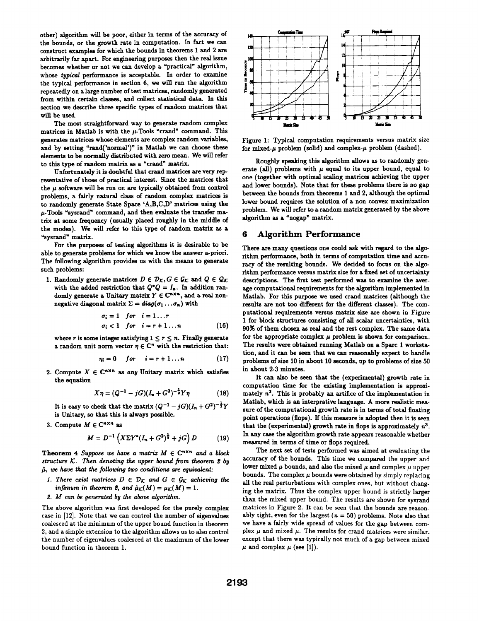other) algorithm will be poor, either in terms of the accuracy of the bounds, or the growth rate in computation. In fact we can construct examples for which the bounds in theorems 1 and 2 are arbitrarily far apart. For engineering purposes then the real issue becomes whether or not we can develop a 'practical" algorithm, whose typical performance is acceptable. In order to examine the typical performance in section 6, we will run the algorithm repeatedly on a large number of test matrices, randomly generated from within certain classes, and collect statistical data. In this section we describe three specific types of random matrices that will be used.

The most straightforward way to generate random complex matrices in Matlab is with the  $\mu$ -Tools "crand" command. This generates matrices whose elements are complex random variables, and by setting "rand('normal')" in Matlab we can choose these elements to be normally distributed with zero mean. We will refer to this type of random matrix as a "crand" matrix.

Unfortunately it is doubtful that crand matrices are very representative of those of practical interest. Since the matrices that the  $\mu$  software will be run on are typically obtained from control problems, a fairly natural class of random complex matrices is to randomly generate State Space 'A,B,C,D' matrices using the  $\mu$ -Tools "sysrand" command, and then evaluate the transfer matrix at some frequency (usually placed roughly in the middle of the modes). We will refer to this type of random matrix as a "sysrand" matrix.

For the purposes of testing algorithms it is desirable to be able to generate problems for which we know the answer a-priori. The following algorithm provides us with the means to generate such problems:

1. Randomly generate matrices  $D \in \mathcal{D}_K$ ,  $G \in \mathcal{G}_K$  and  $Q \in \mathcal{Q}_K$ with the added restriction that  $Q^*Q = I_n$ . In addition randomly generate a Unitary matrix  $Y \in \mathbb{C}^{n \times n}$ , and a real nonnegative diagonal matrix  $\Sigma = diag(\sigma_1 \dots \sigma_n)$  with

$$
\sigma_i = 1 \quad for \quad i = 1 \dots r
$$
\n
$$
\sigma_i < 1 \quad for \quad i = r+1 \dots n \tag{16}
$$

where r is some integer satisfying  $1 \le r \le n$ . Finally generate a random unit norm vector  $\eta \in \mathbb{C}^n$  with the restriction that:

$$
\eta_i = 0 \quad for \quad i = r+1 \dots n \tag{17}
$$

2. Compute  $X \in \mathbb{C}^{n \times n}$  as any Unitary matrix which satisfies the equation

$$
X\eta = (Q^{-1} - jG)(I_n + G^2)^{-\frac{1}{2}}Y\eta
$$
 (18)

It is easy to check that the matrix  $(Q^{-1} - jG)(I_n + G^2)^{-\frac{1}{2}}Y$ is Unitary, so that this is always possible.

3. Compute  $M \in \mathbb{C}^{n \times n}$  as

$$
M = D^{-1} \left( X \Sigma Y^* (I_n + G^2)^{\frac{1}{2}} + jG \right) D \tag{19}
$$

Theorem 4 Suppose we have a matrix  $M \in \mathbb{C}^{n \times n}$  and a block structure  $K$ . Then denoting the upper bound from theorem  $2$  by  $\hat{\mu}$ , we have that the following two conditions are equivalent:

- 1. There exist matrices  $D \in \mathcal{D}_{\mathcal{K}}$  and  $G \in \mathcal{G}_{\mathcal{K}}$  achieving the infimum in theorem 2, and  $\hat{\mu}_{\mathcal{K}}(M) = \mu_{\mathcal{K}}(M) = 1.$
- 2. M can be generated by the above algorithm.

The above algorithm was first developed for the purely complex case in [12]. Note that we can control the number of eigenvalues coalesced at the minimum of the upper bound function in theorem 2, and a simple extension to the algorithm allows us to also control the number of eigenvalues coalesced at the maximum of the lower bound function in theorem 1.



Figure 1: Typical computation requirements versus matrix size for mixed- $\mu$  problem (solid) and complex- $\mu$  problem (dashed).

Roughly speaking this algorithm allows us to randomly generate (all) problems with  $\mu$  equal to its upper bound, equal to one (together with optimal scaling matrices achieving the upper and lower bounds). Note that for these problems there is no gap between the bounds from theorems <sup>1</sup> and 2, although the optimal lower bound requires the solution of a non convex maximization problem. We will refer to a random matrix generated by the above algorithm as a "nogap" matrix.

# 6 Algorithm Performance

There are many questions one could ask with regard to the algorithm performance, both in terms of computation time and accuracy of the resulting bounds. We decided to focus on the algorithm performance versus matrix size for a fixed set of uncertainty descriptions. The first test performed was to examine the average computational requirements for the algorithm implemented in Matlab. For this purpose we used crand matrices (although the results are not too different for the different classes). The computational requirements versus matrix size are shown in Figure 1 for block structures consisting of all scalar uncertainties, with 90% of them chosen as real and the rest complex. The same data for the appropriate complex  $\mu$  problem is shown for comparison. The results were obtained running Matlab on a Sparc <sup>1</sup> workstation, and it can be seen that we can reasonably expect to handle problems of size 10 in about 10 seconds, up to problems of size 50 in about 2-3 minutes.

It can also be seen that the (experimental) growth rate in computation time for the existing implementation is approximately  $n^2$ . This is probably an artifice of the implementation in Matlab, which is an interprative language. A more realistic measure of the computational growth rate is in terms of total floating point operations (flops). If this measure is adopted then it is seen that the (experimental) growth rate in flops is approximately  $n^3$ . In any case the algorithm growth rate appears reasonable whether measured in terms of time or flops required.

The next set of tests performed was aimed at evaluating the accuracy of the bounds. This time we compared the upper and lower mixed  $\mu$  bounds, and also the mixed  $\mu$  and complex  $\mu$  upper bounds. The complex  $\mu$  bounds were obtained by simply replacing all the real perturbations with complex ones, but without changing the matrix. Thus the complex upper bound is strictly larger than the mixed upper bound. The results are shown for sysrand matrices in Figure 2. It can be seen that the bounds are reasonably tight, even for the largest ( $n = 50$ ) problems. Note also that we have a fairly wide spread of values for the gap between complex  $\mu$  and mixed  $\mu$ . The results for crand matrices were similar, except that there was typically not much of a gap between mixed  $\mu$  and complex  $\mu$  (see [1]).